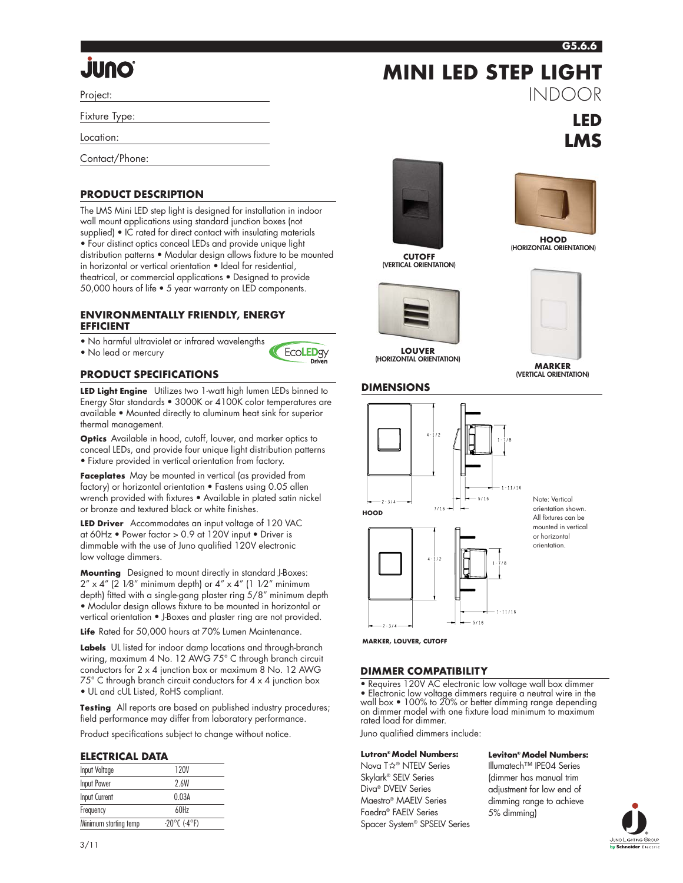#### **G5.6.6**

**LED LMS**

INDOOR

# **ÖNUL**

Project:

Fixture Type:

Location:

Contact/Phone:

# **PRODUCT DESCRIPTION**

The LMS Mini LED step light is designed for installation in indoor wall mount applications using standard junction boxes (not supplied) • IC rated for direct contact with insulating materials • Four distinct optics conceal LEDs and provide unique light distribution patterns • Modular design allows fixture to be mounted in horizontal or vertical orientation • Ideal for residential, theatrical, or commercial applications • Designed to provide 50,000 hours of life • 5 year warranty on LED components.

#### **ENVIRONMENTALLY FRIENDLY, ENERGY EFFICIENT**

• No harmful ultraviolet or infrared wavelengths

• No lead or mercury



# **PRODUCT SPECIFICATIONS**

**LED Light Engine** Utilizes two 1-watt high lumen LEDs binned to Energy Star standards • 3000K or 4100K color temperatures are available • Mounted directly to aluminum heat sink for superior thermal management.

**Optics** Available in hood, cutoff, louver, and marker optics to conceal LEDs, and provide four unique light distribution patterns • Fixture provided in vertical orientation from factory.

**Faceplates** May be mounted in vertical (as provided from factory) or horizontal orientation • Fastens using 0.05 allen wrench provided with fixtures • Available in plated satin nickel or bronze and textured black or white finishes.

**LED Driver** Accommodates an input voltage of 120 VAC at 60Hz • Power factor > 0.9 at 120V input • Driver is dimmable with the use of Juno qualified 120V electronic low voltage dimmers.

**Mounting** Designed to mount directly in standard J-Boxes:  $2'' \times 4''$  (2 1/8" minimum depth) or  $4'' \times 4''$  (1 1/2" minimum depth) fitted with a single-gang plaster ring 5/8" minimum depth • Modular design allows fixture to be mounted in horizontal or vertical orientation • J-Boxes and plaster ring are not provided.

**Life** Rated for 50,000 hours at 70% Lumen Maintenance.

**Labels** UL listed for indoor damp locations and through-branch wiring, maximum 4 No. 12 AWG 75° C through branch circuit conductors for 2 x 4 junction box or maximum 8 No. 12 AWG 75° C through branch circuit conductors for 4 x 4 junction box • UL and cUL Listed, RoHS compliant.

**Testing** All reports are based on published industry procedures; field performance may differ from laboratory performance.

Product specifications subject to change without notice.

## **ELECTRICAL DATA**

| Input Voltage         | 120V                              |
|-----------------------|-----------------------------------|
| <b>Input Power</b>    | 2.6W                              |
| Input Current         | 0.03A                             |
| Frequency             | 60Hz                              |
| Minimum starting temp | $-20^{\circ}$ C (-4 $^{\circ}$ F) |



**CUTOFF (VERTICAL ORIENTATION)**



**LOUVER (HORIZONTAL ORIENTATION)**



**MINI LED STEP LIGHT**

**HOOD (HORIZONTAL ORIENTATION)**



**MARKER (VERTICAL ORIENTATION)**





Note: Vertical orientation shown. All fixtures can be mounted in vertical or horizontal orientation.

**MARKER, LOUVER, CUTOFF**

 $2 - 3/4$ 

## **DIMMER COMPATIBILITY**

• Requires 120V AC electronic low voltage wall box dimmer • Electronic low voltage dimmers require a neutral wire in the wall box • 100% to 20% or better dimming range depending on dimmer model with one fixture load minimum to maximum rated load for dimmer.

 $-11/16$ 

Juno qualified dimmers include:

## **Lutron® Model Numbers:**

Nova T☆® NTELV Series Skylark® SELV Series Diva® DVELV Series Maestro® MAELV Series Faedra® FAELV Series Spacer System® SPSELV Series **Leviton® Model Numbers:**

Illumatech™ IPE04 Series (dimmer has manual trim adjustment for low end of dimming range to achieve 5% dimming)